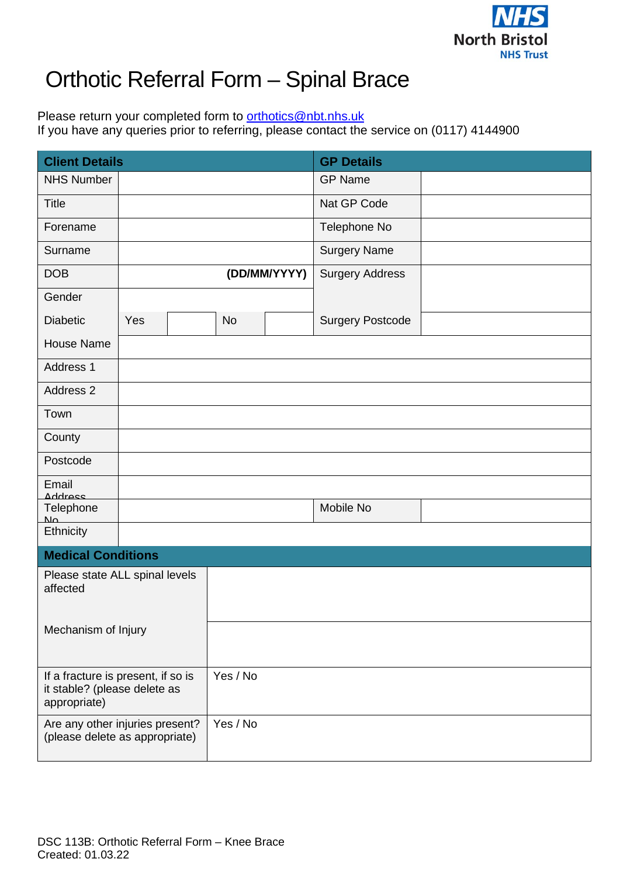

## Orthotic Referral Form – Spinal Brace

Please return your completed form to [orthotics@nbt.nhs.uk](mailto:orthotics@nbt.nhs.uk) If you have any queries prior to referring, please contact the service on (0117) 4144900

| <b>Client Details</b>                                                              |     |  |           |              | <b>GP Details</b>       |  |  |  |  |  |
|------------------------------------------------------------------------------------|-----|--|-----------|--------------|-------------------------|--|--|--|--|--|
| <b>NHS Number</b>                                                                  |     |  |           |              | <b>GP Name</b>          |  |  |  |  |  |
| <b>Title</b>                                                                       |     |  |           |              | Nat GP Code             |  |  |  |  |  |
| Forename                                                                           |     |  |           |              | Telephone No            |  |  |  |  |  |
| Surname                                                                            |     |  |           |              | <b>Surgery Name</b>     |  |  |  |  |  |
| <b>DOB</b>                                                                         |     |  |           | (DD/MM/YYYY) | <b>Surgery Address</b>  |  |  |  |  |  |
| Gender                                                                             |     |  |           |              |                         |  |  |  |  |  |
| <b>Diabetic</b>                                                                    | Yes |  | <b>No</b> |              | <b>Surgery Postcode</b> |  |  |  |  |  |
| <b>House Name</b>                                                                  |     |  |           |              |                         |  |  |  |  |  |
| Address 1                                                                          |     |  |           |              |                         |  |  |  |  |  |
| Address 2                                                                          |     |  |           |              |                         |  |  |  |  |  |
| Town                                                                               |     |  |           |              |                         |  |  |  |  |  |
| County                                                                             |     |  |           |              |                         |  |  |  |  |  |
| Postcode                                                                           |     |  |           |              |                         |  |  |  |  |  |
| Email<br>Address                                                                   |     |  |           |              |                         |  |  |  |  |  |
| Telephone<br>M <sub>o</sub>                                                        |     |  |           |              | Mobile No               |  |  |  |  |  |
| Ethnicity                                                                          |     |  |           |              |                         |  |  |  |  |  |
| <b>Medical Conditions</b>                                                          |     |  |           |              |                         |  |  |  |  |  |
| Please state ALL spinal levels<br>affected                                         |     |  |           |              |                         |  |  |  |  |  |
| Mechanism of Injury                                                                |     |  |           |              |                         |  |  |  |  |  |
| If a fracture is present, if so is<br>it stable? (please delete as<br>appropriate) |     |  | Yes / No  |              |                         |  |  |  |  |  |
| Are any other injuries present?<br>(please delete as appropriate)                  |     |  | Yes / No  |              |                         |  |  |  |  |  |